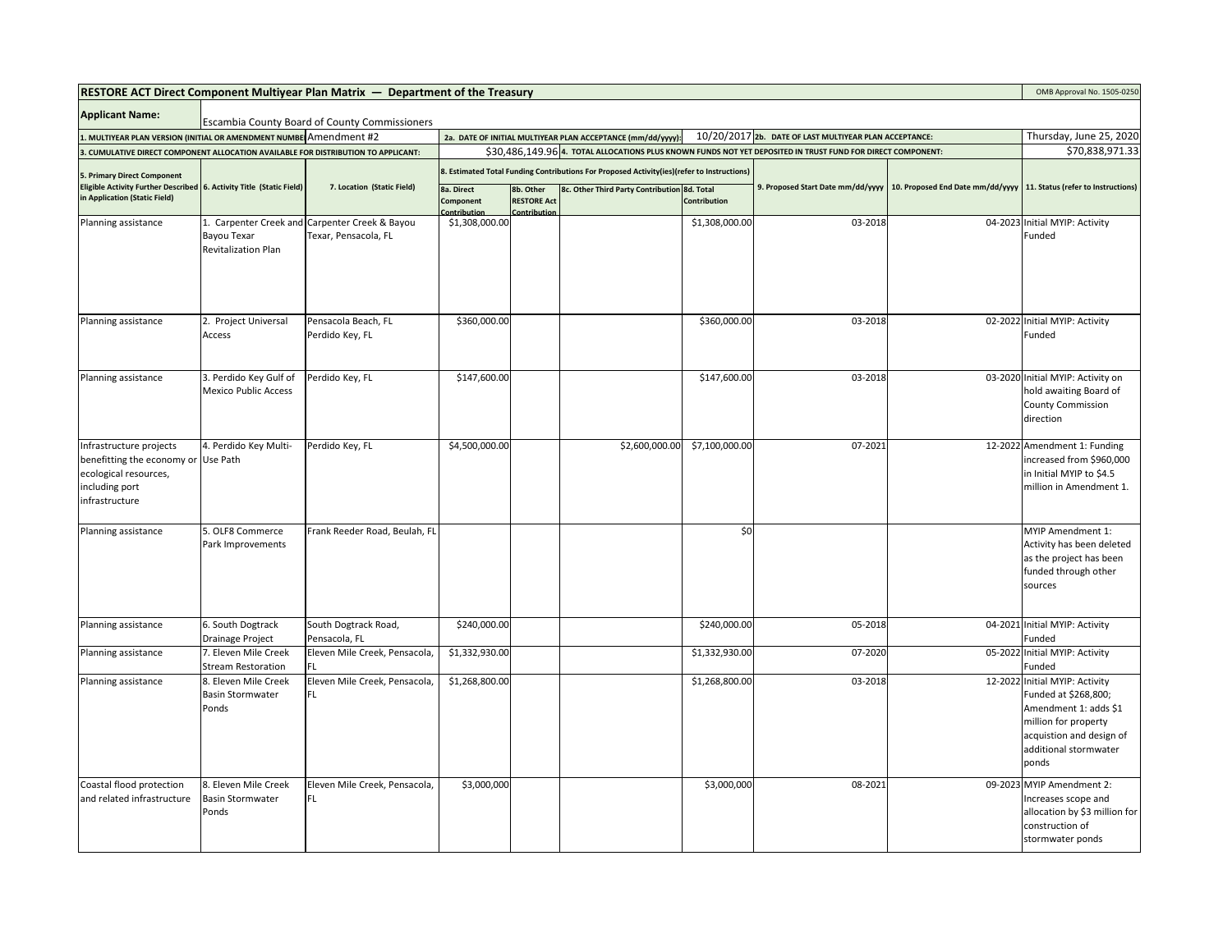| <b>RESTORE ACT Direct Component Multiyear Plan Matrix <math>-</math> Department of the Treasury</b>                         |                                                          |                                                                        |                                                                                            |                                              |                                                             | OMB Approval No. 1505-0250 |                                                                                                             |  |                                                                                                                                                                       |
|-----------------------------------------------------------------------------------------------------------------------------|----------------------------------------------------------|------------------------------------------------------------------------|--------------------------------------------------------------------------------------------|----------------------------------------------|-------------------------------------------------------------|----------------------------|-------------------------------------------------------------------------------------------------------------|--|-----------------------------------------------------------------------------------------------------------------------------------------------------------------------|
| <b>Applicant Name:</b><br><b>Escambia County Board of County Commissioners</b>                                              |                                                          |                                                                        |                                                                                            |                                              |                                                             |                            |                                                                                                             |  |                                                                                                                                                                       |
| 1. MULTIYEAR PLAN VERSION (INITIAL OR AMENDMENT NUMBE Amendment #2                                                          |                                                          |                                                                        |                                                                                            |                                              | 2a. DATE OF INITIAL MULTIYEAR PLAN ACCEPTANCE (mm/dd/yyyy): |                            | 10/20/2017 2b. DATE OF LAST MULTIYEAR PLAN ACCEPTANCE:                                                      |  | Thursday, June 25, 2020                                                                                                                                               |
| . CUMULATIVE DIRECT COMPONENT ALLOCATION AVAILABLE FOR DISTRIBUTION TO APPLICANT:                                           |                                                          |                                                                        |                                                                                            |                                              |                                                             |                            | \$30,486,149.96 4. TOTAL ALLOCATIONS PLUS KNOWN FUNDS NOT YET DEPOSITED IN TRUST FUND FOR DIRECT COMPONENT: |  | \$70,838,971.33                                                                                                                                                       |
| 5. Primary Direct Component                                                                                                 |                                                          |                                                                        | 8. Estimated Total Funding Contributions For Proposed Activity(ies)(refer to Instructions) |                                              |                                                             |                            |                                                                                                             |  |                                                                                                                                                                       |
| Eligible Activity Further Described 6. Activity Title (Static Field)<br>in Application (Static Field)                       | 7. Location (Static Field)                               | 8a. Direct<br>Component<br>Contribution                                | 8b. Other<br><b>RESTORE Act</b><br>Contribution                                            | 8c. Other Third Party Contribution 8d. Total | <b>Contribution</b>                                         |                            | 9. Proposed Start Date mm/dd/yyyy   10. Proposed End Date mm/dd/yyyy   11. Status (refer to Instructions)   |  |                                                                                                                                                                       |
| Planning assistance                                                                                                         | Bayou Texar<br>Revitalization Plan                       | 1. Carpenter Creek and Carpenter Creek & Bayou<br>Texar, Pensacola, FL | \$1,308,000.00                                                                             |                                              |                                                             | \$1,308,000.00             | 03-2018                                                                                                     |  | 04-2023 Initial MYIP: Activity<br>Funded                                                                                                                              |
| Planning assistance                                                                                                         | Project Universal<br>Access                              | Pensacola Beach, FL<br>Perdido Key, FL                                 | \$360,000.00                                                                               |                                              |                                                             | \$360,000.00               | 03-2018                                                                                                     |  | 02-2022 Initial MYIP: Activity<br>Funded                                                                                                                              |
| Planning assistance                                                                                                         | 3. Perdido Key Gulf of<br><b>Mexico Public Access</b>    | Perdido Key, FL                                                        | \$147,600.00                                                                               |                                              |                                                             | \$147,600.00               | 03-2018                                                                                                     |  | 03-2020 Initial MYIP: Activity on<br>hold awaiting Board of<br><b>County Commission</b><br>direction                                                                  |
| Infrastructure projects<br>benefitting the economy or Use Path<br>ecological resources,<br>including port<br>infrastructure | 4. Perdido Key Multi-                                    | Perdido Key, FL                                                        | \$4,500,000.00                                                                             |                                              | \$2,600,000.00                                              | \$7,100,000.00             | 07-2021                                                                                                     |  | 12-2022 Amendment 1: Funding<br>increased from \$960,000<br>in Initial MYIP to \$4.5<br>million in Amendment 1.                                                       |
| Planning assistance                                                                                                         | 5. OLF8 Commerce<br>Park Improvements                    | Frank Reeder Road, Beulah, FL                                          |                                                                                            |                                              |                                                             | \$0                        |                                                                                                             |  | MYIP Amendment 1:<br>Activity has been deleted<br>as the project has been<br>funded through other<br>sources                                                          |
| Planning assistance                                                                                                         | 6. South Dogtrack<br>Drainage Project                    | South Dogtrack Road,<br>Pensacola, FL                                  | \$240,000.00                                                                               |                                              |                                                             | \$240,000.00               | 05-2018                                                                                                     |  | 04-2021 Initial MYIP: Activity<br>Funded                                                                                                                              |
| Planning assistance                                                                                                         | 7. Eleven Mile Creek<br><b>Stream Restoration</b>        | Eleven Mile Creek, Pensacola,<br>FL                                    | \$1,332,930.00                                                                             |                                              |                                                             | \$1,332,930.00             | 07-2020                                                                                                     |  | 05-2022 Initial MYIP: Activity<br>Funded                                                                                                                              |
| Planning assistance                                                                                                         | 8. Eleven Mile Creek<br><b>Basin Stormwater</b><br>Ponds | Eleven Mile Creek, Pensacola,<br>FL                                    | \$1,268,800.00                                                                             |                                              |                                                             | \$1,268,800.00             | 03-2018                                                                                                     |  | 12-2022 Initial MYIP: Activity<br>Funded at \$268,800;<br>Amendment 1: adds \$1<br>million for property<br>acquistion and design of<br>additional stormwater<br>ponds |
| Coastal flood protection<br>and related infrastructure                                                                      | 8. Eleven Mile Creek<br><b>Basin Stormwater</b><br>Ponds | Eleven Mile Creek, Pensacola,<br>FL.                                   | \$3,000,000                                                                                |                                              |                                                             | \$3,000,000                | 08-2021                                                                                                     |  | 09-2023 MYIP Amendment 2:<br>Increases scope and<br>allocation by \$3 million for<br>construction of<br>stormwater ponds                                              |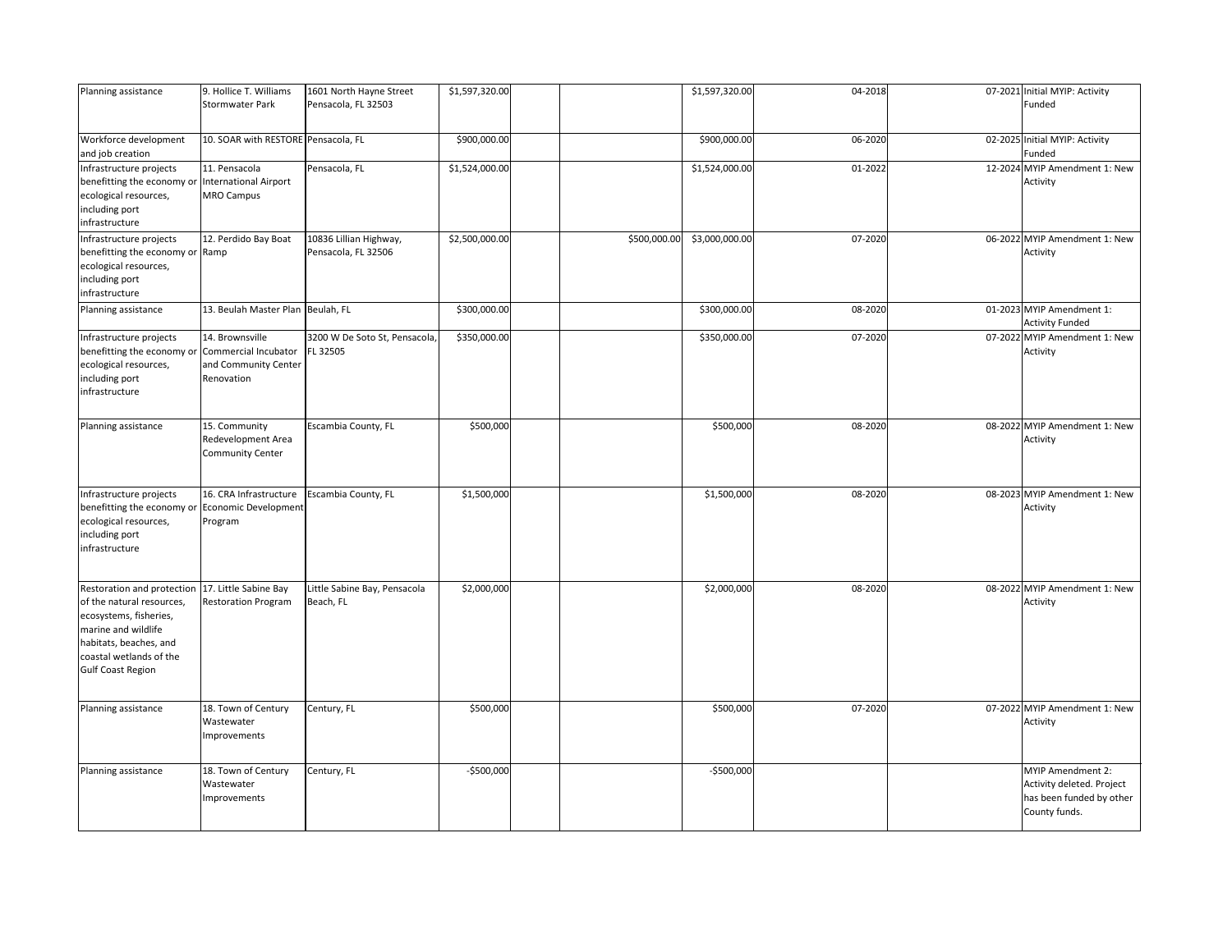| Planning assistance                                                                                                                                                                       | 9. Hollice T. Williams<br><b>Stormwater Park</b>                              | 1601 North Hayne Street<br>Pensacola, FL 32503 | \$1,597,320.00 |              | \$1,597,320.00 | 04-2018 | 07-2021 Initial MYIP: Activity<br>Funded                                                    |
|-------------------------------------------------------------------------------------------------------------------------------------------------------------------------------------------|-------------------------------------------------------------------------------|------------------------------------------------|----------------|--------------|----------------|---------|---------------------------------------------------------------------------------------------|
| Workforce development<br>and job creation                                                                                                                                                 | 10. SOAR with RESTORE Pensacola, FL                                           |                                                | \$900,000.00   |              | \$900,000.00   | 06-2020 | 02-2025 Initial MYIP: Activity<br>Funded                                                    |
| Infrastructure projects<br>benefitting the economy or<br>ecological resources,<br>including port<br>infrastructure                                                                        | 11. Pensacola<br><b>International Airport</b><br><b>MRO Campus</b>            | Pensacola, FL                                  | \$1,524,000.00 |              | \$1,524,000.00 | 01-2022 | 12-2024 MYIP Amendment 1: New<br>Activity                                                   |
| Infrastructure projects<br>benefitting the economy or Ramp<br>ecological resources,<br>including port<br>infrastructure                                                                   | 12. Perdido Bay Boat                                                          | 10836 Lillian Highway,<br>Pensacola, FL 32506  | \$2,500,000.00 | \$500,000.00 | \$3,000,000.00 | 07-2020 | 06-2022 MYIP Amendment 1: New<br>Activity                                                   |
| Planning assistance                                                                                                                                                                       | 13. Beulah Master Plan Beulah, FL                                             |                                                | \$300,000.00   |              | \$300,000.00   | 08-2020 | 01-2023 MYIP Amendment 1:<br><b>Activity Funded</b>                                         |
| Infrastructure projects<br>benefitting the economy or<br>ecological resources,<br>including port<br>infrastructure                                                                        | 14. Brownsville<br>Commercial Incubator<br>and Community Center<br>Renovation | 3200 W De Soto St, Pensacola,<br>FL 32505      | \$350,000.00   |              | \$350,000.00   | 07-2020 | 07-2022 MYIP Amendment 1: New<br>Activity                                                   |
| Planning assistance                                                                                                                                                                       | 15. Community<br>Redevelopment Area<br><b>Community Center</b>                | Escambia County, FL                            | \$500,000      |              | \$500,000      | 08-2020 | 08-2022 MYIP Amendment 1: New<br>Activity                                                   |
| Infrastructure projects<br>benefitting the economy or<br>ecological resources,<br>including port<br>infrastructure                                                                        | 16. CRA Infrastructure<br>Economic Development<br>Program                     | Escambia County, FL                            | \$1,500,000    |              | \$1,500,000    | 08-2020 | 08-2023 MYIP Amendment 1: New<br>Activity                                                   |
| Restoration and protection<br>of the natural resources,<br>ecosystems, fisheries,<br>marine and wildlife<br>habitats, beaches, and<br>coastal wetlands of the<br><b>Gulf Coast Region</b> | 17. Little Sabine Bay<br><b>Restoration Program</b>                           | Little Sabine Bay, Pensacola<br>Beach, FL      | \$2,000,000    |              | \$2,000,000    | 08-2020 | 08-2022 MYIP Amendment 1: New<br>Activity                                                   |
| Planning assistance                                                                                                                                                                       | 18. Town of Century<br>Wastewater<br>Improvements                             | Century, FL                                    | \$500,000      |              | \$500,000      | 07-2020 | 07-2022 MYIP Amendment 1: New<br>Activity                                                   |
| Planning assistance                                                                                                                                                                       | 18. Town of Century<br>Wastewater<br>Improvements                             | Century, FL                                    | -\$500,000     |              | -\$500,000     |         | MYIP Amendment 2:<br>Activity deleted. Project<br>has been funded by other<br>County funds. |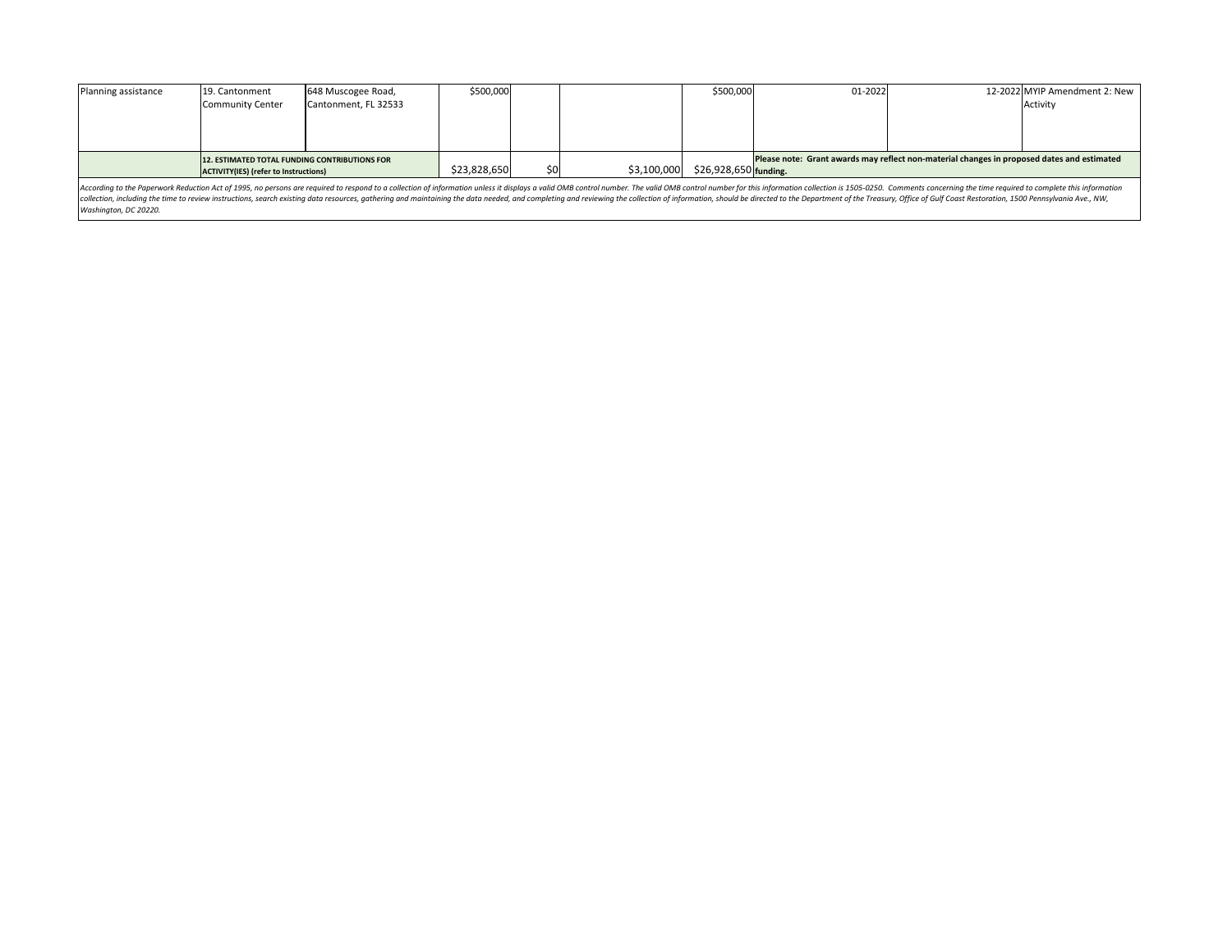| Planning assistance                           | 19. Cantonment   | 648 Muscogee Road,   | \$500,000 |             |                        | \$500,000                                                                                  | 01-2022 | 12-2022 MYIP Amendment 2: New |
|-----------------------------------------------|------------------|----------------------|-----------|-------------|------------------------|--------------------------------------------------------------------------------------------|---------|-------------------------------|
|                                               | Community Center | Cantonment, FL 32533 |           |             |                        |                                                                                            |         | Activity                      |
|                                               |                  |                      |           |             |                        |                                                                                            |         |                               |
|                                               |                  |                      |           |             |                        |                                                                                            |         |                               |
|                                               |                  |                      |           |             |                        |                                                                                            |         |                               |
| 12. ESTIMATED TOTAL FUNDING CONTRIBUTIONS FOR |                  |                      |           |             |                        | Please note: Grant awards may reflect non-material changes in proposed dates and estimated |         |                               |
| ACTIVITY(IES) (refer to Instructions)         |                  | \$23,828,650         | \$0       | \$3,100,000 | $$26,928,650$ funding. |                                                                                            |         |                               |

| $01 - 2022$                                                                                |                                                                                                               | 12-2022 MYIP Amendment 2: New |  |  |  |
|--------------------------------------------------------------------------------------------|---------------------------------------------------------------------------------------------------------------|-------------------------------|--|--|--|
|                                                                                            |                                                                                                               | Activity                      |  |  |  |
|                                                                                            |                                                                                                               |                               |  |  |  |
|                                                                                            |                                                                                                               |                               |  |  |  |
|                                                                                            |                                                                                                               |                               |  |  |  |
| Please note: Grant awards may reflect non-material changes in proposed dates and estimated |                                                                                                               |                               |  |  |  |
| funding.                                                                                   |                                                                                                               |                               |  |  |  |
|                                                                                            | is information collection is 1505-0250.  Comments concernina the time reauired to complete this information i |                               |  |  |  |

According to the Paperwork Reduction Act of 1995, no persons are required to respond to a collection of information unless it displays a valid OMB control number. The valid OMB control number for this information collectio collection, including the time to review instructions, search existing data resources, gathering and maintaining the data needed, and completing and reviewing the collection of information, should be directed to the Depart *Washington, DC 20220.*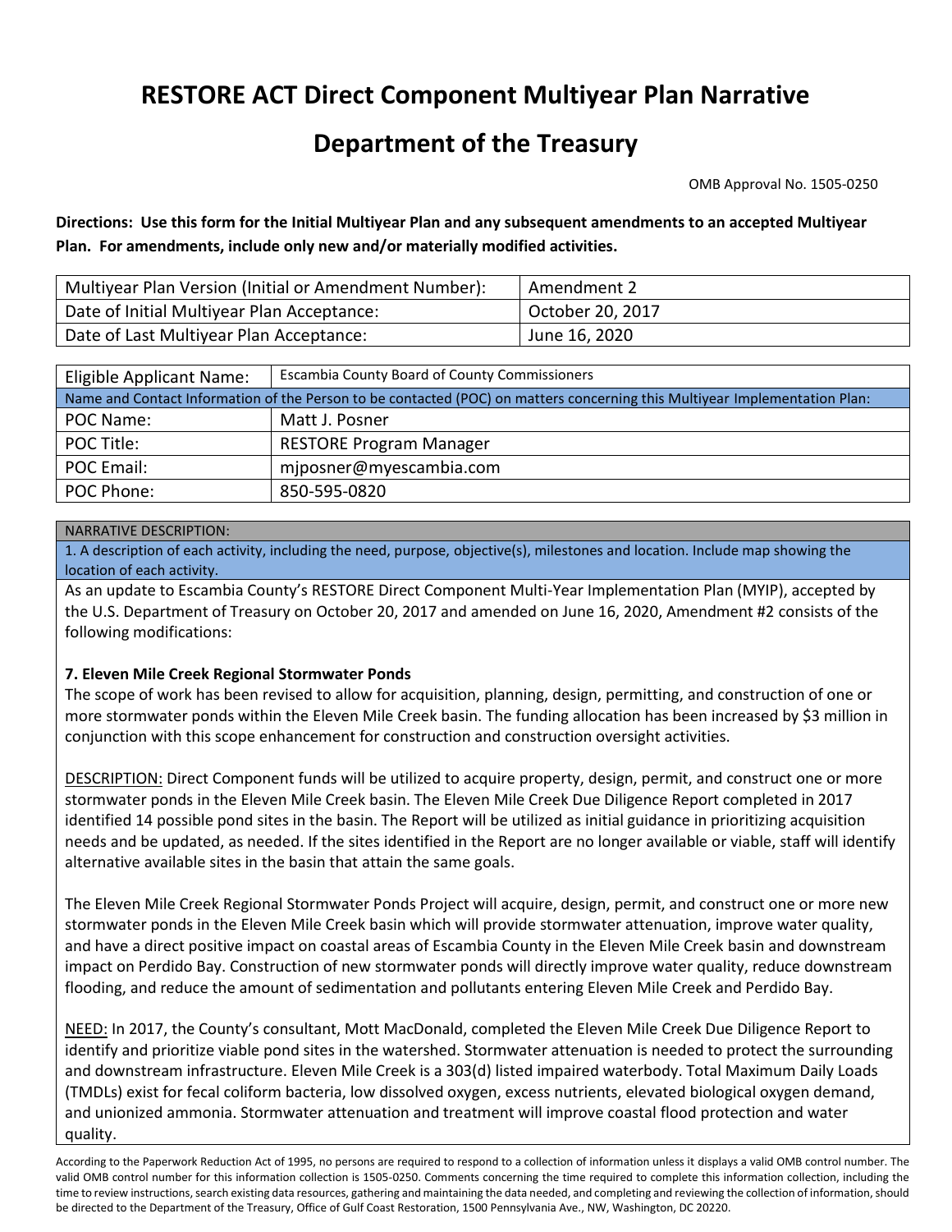# **RESTORE ACT Direct Component Multiyear Plan Narrative**

## **Department of the Treasury**

OMB Approval No. 1505-0250

**Directions: Use this form for the Initial Multiyear Plan and any subsequent amendments to an accepted Multiyear Plan. For amendments, include only new and/or materially modified activities.**

| Multiyear Plan Version (Initial or Amendment Number): | Amendment 2      |
|-------------------------------------------------------|------------------|
| Date of Initial Multiyear Plan Acceptance:            | October 20, 2017 |
| Date of Last Multiyear Plan Acceptance:               | June 16, 2020    |

| Escambia County Board of County Commissioners<br>Eligible Applicant Name:                                                  |                                |  |  |  |  |
|----------------------------------------------------------------------------------------------------------------------------|--------------------------------|--|--|--|--|
| Name and Contact Information of the Person to be contacted (POC) on matters concerning this Multiyear Implementation Plan: |                                |  |  |  |  |
| POC Name:                                                                                                                  | Matt J. Posner                 |  |  |  |  |
| POC Title:                                                                                                                 | <b>RESTORE Program Manager</b> |  |  |  |  |
| POC Email:                                                                                                                 | mjposner@myescambia.com        |  |  |  |  |
| POC Phone:                                                                                                                 | 850-595-0820                   |  |  |  |  |

#### NARRATIVE DESCRIPTION:

1. A description of each activity, including the need, purpose, objective(s), milestones and location. Include map showing the location of each activity.

As an update to Escambia County's RESTORE Direct Component Multi-Year Implementation Plan (MYIP), accepted by the U.S. Department of Treasury on October 20, 2017 and amended on June 16, 2020, Amendment #2 consists of the following modifications:

#### **7. Eleven Mile Creek Regional Stormwater Ponds**

The scope of work has been revised to allow for acquisition, planning, design, permitting, and construction of one or more stormwater ponds within the Eleven Mile Creek basin. The funding allocation has been increased by \$3 million in conjunction with this scope enhancement for construction and construction oversight activities.

DESCRIPTION: Direct Component funds will be utilized to acquire property, design, permit, and construct one or more stormwater ponds in the Eleven Mile Creek basin. The Eleven Mile Creek Due Diligence Report completed in 2017 identified 14 possible pond sites in the basin. The Report will be utilized as initial guidance in prioritizing acquisition needs and be updated, as needed. If the sites identified in the Report are no longer available or viable, staff will identify alternative available sites in the basin that attain the same goals.

The Eleven Mile Creek Regional Stormwater Ponds Project will acquire, design, permit, and construct one or more new stormwater ponds in the Eleven Mile Creek basin which will provide stormwater attenuation, improve water quality, and have a direct positive impact on coastal areas of Escambia County in the Eleven Mile Creek basin and downstream impact on Perdido Bay. Construction of new stormwater ponds will directly improve water quality, reduce downstream flooding, and reduce the amount of sedimentation and pollutants entering Eleven Mile Creek and Perdido Bay.

NEED: In 2017, the County's consultant, Mott MacDonald, completed the Eleven Mile Creek Due Diligence Report to identify and prioritize viable pond sites in the watershed. Stormwater attenuation is needed to protect the surrounding and downstream infrastructure. Eleven Mile Creek is a 303(d) listed impaired waterbody. Total Maximum Daily Loads (TMDLs) exist for fecal coliform bacteria, low dissolved oxygen, excess nutrients, elevated biological oxygen demand, and unionized ammonia. Stormwater attenuation and treatment will improve coastal flood protection and water quality.

According to the Paperwork Reduction Act of 1995, no persons are required to respond to a collection of information unless it displays a valid OMB control number. The valid OMB control number for this information collection is 1505-0250. Comments concerning the time required to complete this information collection, including the time to review instructions, search existing data resources, gathering and maintaining the data needed, and completing and reviewing the collection of information, should be directed to the Department of the Treasury, Office of Gulf Coast Restoration, 1500 Pennsylvania Ave., NW, Washington, DC 20220.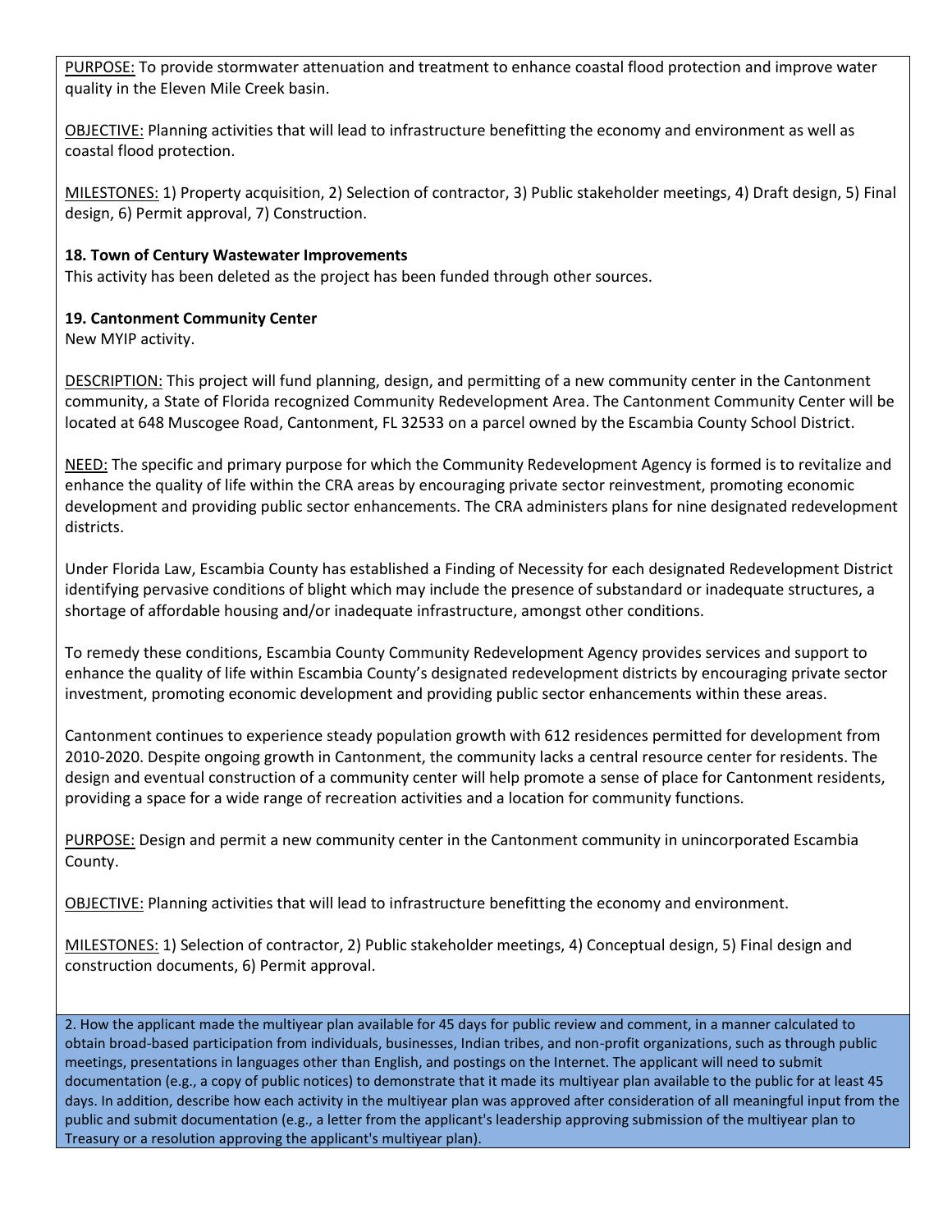PURPOSE: To provide stormwater attenuation and treatment to enhance coastal flood protection and improve water quality in the Eleven Mile Creek basin.

OBJECTIVE: Planning activities that will lead to infrastructure benefitting the economy and environment as well as coastal flood protection.

MILESTONES: 1) Property acquisition, 2) Selection of contractor, 3) Public stakeholder meetings, 4) Draft design, 5) Final design, 6) Permit approval, 7) Construction.

#### **18. Town of Century Wastewater Improvements**

This activity has been deleted as the project has been funded through other sources.

#### **19. Cantonment Community Center**

New MYIP activity.

DESCRIPTION: This project will fund planning, design, and permitting of a new community center in the Cantonment community, a State of Florida recognized Community Redevelopment Area. The Cantonment Community Center will be located at 648 Muscogee Road, Cantonment, FL 32533 on a parcel owned by the Escambia County School District.

NEED: The specific and primary purpose for which the Community Redevelopment Agency is formed is to revitalize and enhance the quality of life within the CRA areas by encouraging private sector reinvestment, promoting economic development and providing public sector enhancements. The CRA administers plans for nine designated redevelopment districts.

Under Florida Law, Escambia County has established a Finding of Necessity for each designated Redevelopment District identifying pervasive conditions of blight which may include the presence of substandard or inadequate structures, a shortage of affordable housing and/or inadequate infrastructure, amongst other conditions.

To remedy these conditions, Escambia County Community Redevelopment Agency provides services and support to enhance the quality of life within Escambia County's designated redevelopment districts by encouraging private sector investment, promoting economic development and providing public sector enhancements within these areas.

Cantonment continues to experience steady population growth with 612 residences permitted for development from 2010-2020. Despite ongoing growth in Cantonment, the community lacks a central resource center for residents. The design and eventual construction of a community center will help promote a sense of place for Cantonment residents, providing a space for a wide range of recreation activities and a location for community functions.

PURPOSE: Design and permit a new community center in the Cantonment community in unincorporated Escambia County.

OBJECTIVE: Planning activities that will lead to infrastructure benefitting the economy and environment.

MILESTONES: 1) Selection of contractor, 2) Public stakeholder meetings, 4) Conceptual design, 5) Final design and construction documents, 6) Permit approval.

2. How the applicant made the multiyear plan available for 45 days for public review and comment, in a manner calculated to obtain broad-based participation from individuals, businesses, Indian tribes, and non-profit organizations, such as through public meetings, presentations in languages other than English, and postings on the Internet. The applicant will need to submit documentation (e.g., a copy of public notices) to demonstrate that it made its multiyear plan available to the public for at least 45 days. In addition, describe how each activity in the multiyear plan was approved after consideration of all meaningful input from the public and submit documentation (e.g., a letter from the applicant's leadership approving submission of the multiyear plan to Treasury or a resolution approving the applicant's multiyear plan).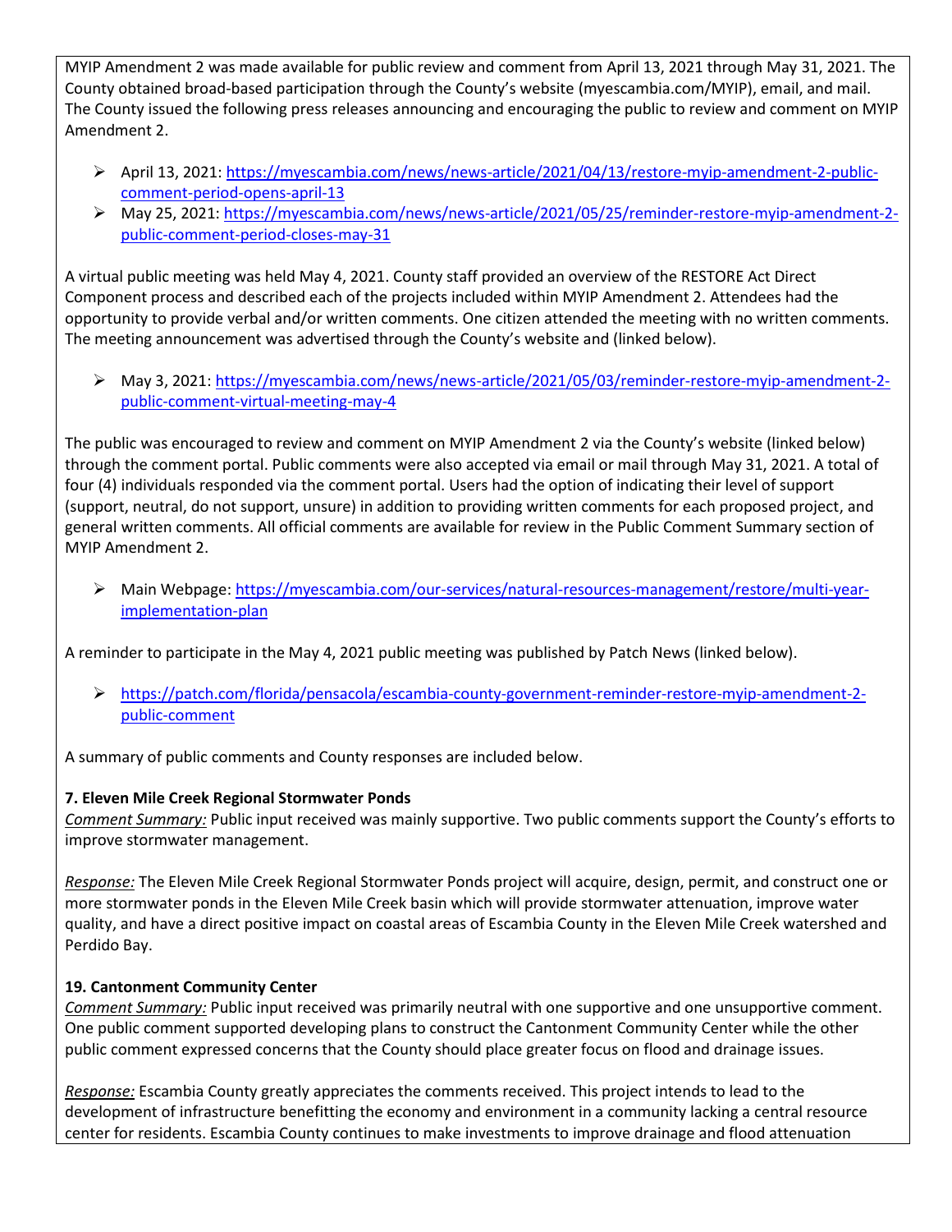MYIP Amendment 2 was made available for public review and comment from April 13, 2021 through May 31, 2021. The County obtained broad-based participation through the County's website (myescambia.com/MYIP), email, and mail. The County issued the following press releases announcing and encouraging the public to review and comment on MYIP Amendment 2.

- ➢ April 13, 2021: [https://myescambia.com/news/news-article/2021/04/13/restore-myip-amendment-2-public](https://myescambia.com/news/news-article/2021/04/13/restore-myip-amendment-2-public-comment-period-opens-april-13)[comment-period-opens-april-13](https://myescambia.com/news/news-article/2021/04/13/restore-myip-amendment-2-public-comment-period-opens-april-13)
- ➢ May 25, 2021: [https://myescambia.com/news/news-article/2021/05/25/reminder-restore-myip-amendment-2](https://myescambia.com/news/news-article/2021/05/25/reminder-restore-myip-amendment-2-public-comment-period-closes-may-31) [public-comment-period-closes-may-31](https://myescambia.com/news/news-article/2021/05/25/reminder-restore-myip-amendment-2-public-comment-period-closes-may-31)

A virtual public meeting was held May 4, 2021. County staff provided an overview of the RESTORE Act Direct Component process and described each of the projects included within MYIP Amendment 2. Attendees had the opportunity to provide verbal and/or written comments. One citizen attended the meeting with no written comments. The meeting announcement was advertised through the County's website and (linked below).

➢ May 3, 2021[: https://myescambia.com/news/news-article/2021/05/03/reminder-restore-myip-amendment-2](https://myescambia.com/news/news-article/2021/05/03/reminder-restore-myip-amendment-2-public-comment-virtual-meeting-may-4) [public-comment-virtual-meeting-may-4](https://myescambia.com/news/news-article/2021/05/03/reminder-restore-myip-amendment-2-public-comment-virtual-meeting-may-4)

The public was encouraged to review and comment on MYIP Amendment 2 via the County's website (linked below) through the comment portal. Public comments were also accepted via email or mail through May 31, 2021. A total of four (4) individuals responded via the comment portal. Users had the option of indicating their level of support (support, neutral, do not support, unsure) in addition to providing written comments for each proposed project, and general written comments. All official comments are available for review in the Public Comment Summary section of MYIP Amendment 2.

➢ Main Webpage: [https://myescambia.com/our-services/natural-resources-management/restore/multi-year](https://myescambia.com/our-services/natural-resources-management/restore/multi-year-implementation-plan)[implementation-plan](https://myescambia.com/our-services/natural-resources-management/restore/multi-year-implementation-plan)

A reminder to participate in the May 4, 2021 public meeting was published by Patch News (linked below).

➢ [https://patch.com/florida/pensacola/escambia-county-government-reminder-restore-myip-amendment-2](https://patch.com/florida/pensacola/escambia-county-government-reminder-restore-myip-amendment-2-public-comment) [public-comment](https://patch.com/florida/pensacola/escambia-county-government-reminder-restore-myip-amendment-2-public-comment)

A summary of public comments and County responses are included below.

### **7. Eleven Mile Creek Regional Stormwater Ponds**

*Comment Summary:* Public input received was mainly supportive. Two public comments support the County's efforts to improve stormwater management.

*Response:* The Eleven Mile Creek Regional Stormwater Ponds project will acquire, design, permit, and construct one or more stormwater ponds in the Eleven Mile Creek basin which will provide stormwater attenuation, improve water quality, and have a direct positive impact on coastal areas of Escambia County in the Eleven Mile Creek watershed and Perdido Bay.

### **19. Cantonment Community Center**

*Comment Summary:* Public input received was primarily neutral with one supportive and one unsupportive comment. One public comment supported developing plans to construct the Cantonment Community Center while the other public comment expressed concerns that the County should place greater focus on flood and drainage issues.

*Response:* Escambia County greatly appreciates the comments received. This project intends to lead to the development of infrastructure benefitting the economy and environment in a community lacking a central resource center for residents. Escambia County continues to make investments to improve drainage and flood attenuation